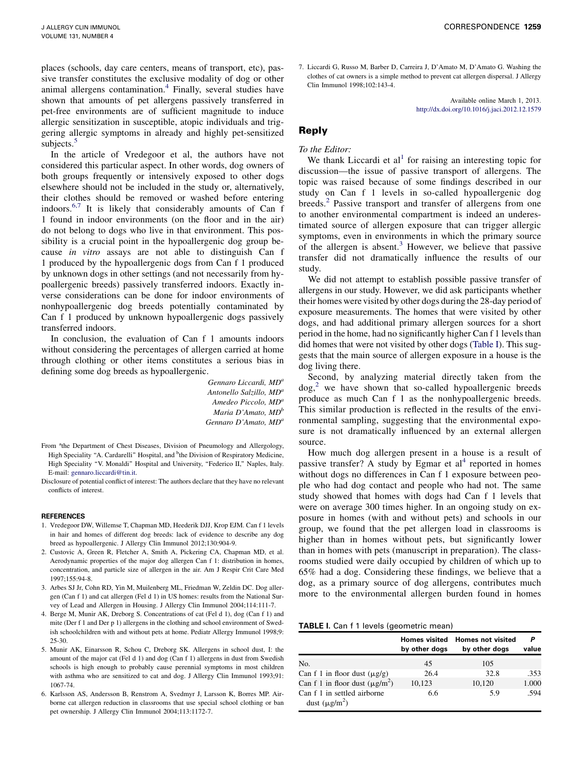places (schools, day care centers, means of transport, etc), passive transfer constitutes the exclusive modality of dog or other animal allergens contamination.<sup>4</sup> Finally, several studies have shown that amounts of pet allergens passively transferred in pet-free environments are of sufficient magnitude to induce allergic sensitization in susceptible, atopic individuals and triggering allergic symptoms in already and highly pet-sensitized subjects.<sup>5</sup>

In the article of Vredegoor et al, the authors have not considered this particular aspect. In other words, dog owners of both groups frequently or intensively exposed to other dogs elsewhere should not be included in the study or, alternatively, their clothes should be removed or washed before entering indoors.6,7 It is likely that considerably amounts of Can f 1 found in indoor environments (on the floor and in the air) do not belong to dogs who live in that environment. This possibility is a crucial point in the hypoallergenic dog group because in vitro assays are not able to distinguish Can f 1 produced by the hypoallergenic dogs from Can f 1 produced by unknown dogs in other settings (and not necessarily from hypoallergenic breeds) passively transferred indoors. Exactly inverse considerations can be done for indoor environments of nonhypoallergenic dog breeds potentially contaminated by Can f 1 produced by unknown hypoallergenic dogs passively transferred indoors.

In conclusion, the evaluation of Can f 1 amounts indoors without considering the percentages of allergen carried at home through clothing or other items constitutes a serious bias in defining some dog breeds as hypoallergenic.

> Gennaro Liccardi, MD<sup>a</sup> Antonello Salzillo, MD<sup>a</sup> Amedeo Piccolo, MD<sup>a</sup> Maria D'Amato, MD<sup>b</sup> Gennaro D'Amato, MD<sup>a</sup>

From <sup>a</sup>the Department of Chest Diseases, Division of Pneumology and Allergology, High Speciality "A. Cardarelli" Hospital, and <sup>b</sup>the Division of Respiratory Medicine, High Speciality "V. Monaldi" Hospital and University, "Federico II," Naples, Italy. E-mail: [gennaro.liccardi@tin.it.](mailto:gennaro.liccardi@tin.it)

Disclosure of potential conflict of interest: The authors declare that they have no relevant conflicts of interest.

#### REFERENCES

- 1. Vredegoor DW, Willemse T, Chapman MD, Heederik DJJ, Krop EJM. Can f 1 levels in hair and homes of different dog breeds: lack of evidence to describe any dog breed as hypoallergenic. J Allergy Clin Immunol 2012;130:904-9.
- 2. Custovic A, Green R, Fletcher A, Smith A, Pickering CA, Chapman MD, et al. Aerodynamic properties of the major dog allergen Can f 1: distribution in homes, concentration, and particle size of allergen in the air. Am J Respir Crit Care Med 1997;155:94-8.
- 3. Arbes SJ Jr, Cohn RD, Yin M, Muilenberg ML, Friedman W, Zeldin DC. Dog allergen (Can f 1) and cat allergen (Fel d 1) in US homes: results from the National Survey of Lead and Allergen in Housing. J Allergy Clin Immunol 2004;114:111-7.
- 4. Berge M, Munir AK, Dreborg S. Concentrations of cat (Fel d 1), dog (Can f 1) and mite (Der f 1 and Der p 1) allergens in the clothing and school environment of Swedish schoolchildren with and without pets at home. Pediatr Allergy Immunol 1998;9: 25-30.
- 5. Munir AK, Einarsson R, Schou C, Dreborg SK. Allergens in school dust, I: the amount of the major cat (Fel d 1) and dog (Can f 1) allergens in dust from Swedish schools is high enough to probably cause perennial symptoms in most children with asthma who are sensitized to cat and dog. J Allergy Clin Immunol 1993;91: 1067-74.
- 6. Karlsson AS, Andersson B, Renstrom A, Svedmyr J, Larsson K, Borres MP. Airborne cat allergen reduction in classrooms that use special school clothing or ban pet ownership. J Allergy Clin Immunol 2004;113:1172-7.

7. Liccardi G, Russo M, Barber D, Carreira J, D'Amato M, D'Amato G. Washing the clothes of cat owners is a simple method to prevent cat allergen dispersal. J Allergy Clin Immunol 1998;102:143-4.

> Available online March 1, 2013. [http://dx.doi.org/10.1016/j.jaci.2012.12.1579](http://dx.doi.org/10.1016/j.jaci.2013.01.050)

# Reply

## To the Editor:

We thank Liccardi et al<sup>[1](#page-1-0)</sup> for raising an interesting topic for discussion—the issue of passive transport of allergens. The topic was raised because of some findings described in our study on Can f 1 levels in so-called hypoallergenic dog breeds.<sup>[2](#page-1-0)</sup> Passive transport and transfer of allergens from one to another environmental compartment is indeed an underestimated source of allergen exposure that can trigger allergic symptoms, even in environments in which the primary source of the allergen is absent.<sup>[3](#page-1-0)</sup> However, we believe that passive transfer did not dramatically influence the results of our study.

We did not attempt to establish possible passive transfer of allergens in our study. However, we did ask participants whether their homes were visited by other dogs during the 28-day period of exposure measurements. The homes that were visited by other dogs, and had additional primary allergen sources for a short period in the home, had no significantly higher Can f 1 levels than did homes that were not visited by other dogs (Table I). This suggests that the main source of allergen exposure in a house is the dog living there.

Second, by analyzing material directly taken from the  $\log$ <sup>[2](#page-1-0)</sup> we have shown that so-called hypoallergenic breeds produce as much Can f 1 as the nonhypoallergenic breeds. This similar production is reflected in the results of the environmental sampling, suggesting that the environmental exposure is not dramatically influenced by an external allergen source.

How much dog allergen present in a house is a result of passive transfer? A study by Egmar et  $al<sup>4</sup>$  $al<sup>4</sup>$  $al<sup>4</sup>$  reported in homes without dogs no differences in Can f 1 exposure between people who had dog contact and people who had not. The same study showed that homes with dogs had Can f 1 levels that were on average 300 times higher. In an ongoing study on exposure in homes (with and without pets) and schools in our group, we found that the pet allergen load in classrooms is higher than in homes without pets, but significantly lower than in homes with pets (manuscript in preparation). The classrooms studied were daily occupied by children of which up to 65% had a dog. Considering these findings, we believe that a dog, as a primary source of dog allergens, contributes much more to the environmental allergen burden found in homes

#### TABLE I. Can f 1 levels (geometric mean)

|                                                   | <b>Homes visited</b><br>by other dogs | <b>Homes not visited</b><br>by other dogs | P<br>value |
|---------------------------------------------------|---------------------------------------|-------------------------------------------|------------|
| No.                                               | 45                                    | 105                                       |            |
| Can f 1 in floor dust $(\mu g/g)$                 | 26.4                                  | 32.8                                      | .353       |
| Can f 1 in floor dust $(\mu g/m^2)$               | 10.123                                | 10,120                                    | 1.000      |
| Can f 1 in settled airborne<br>dust $(\mu g/m^2)$ | 6.6                                   | 59                                        | .594       |